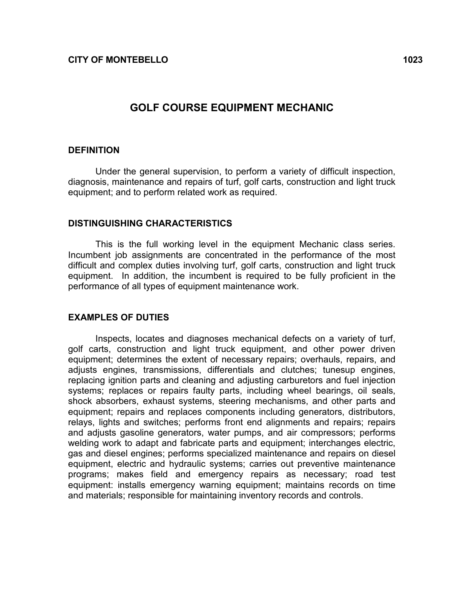## GOLF COURSE EQUIPMENT MECHANIC

### **DEFINITION**

Under the general supervision, to perform a variety of difficult inspection, diagnosis, maintenance and repairs of turf, golf carts, construction and light truck equipment; and to perform related work as required.

### DISTINGUISHING CHARACTERISTICS

This is the full working level in the equipment Mechanic class series. Incumbent job assignments are concentrated in the performance of the most difficult and complex duties involving turf, golf carts, construction and light truck equipment. In addition, the incumbent is required to be fully proficient in the performance of all types of equipment maintenance work.

### EXAMPLES OF DUTIES

Inspects, locates and diagnoses mechanical defects on a variety of turf, golf carts, construction and light truck equipment, and other power driven equipment; determines the extent of necessary repairs; overhauls, repairs, and adjusts engines, transmissions, differentials and clutches; tunesup engines, replacing ignition parts and cleaning and adjusting carburetors and fuel injection systems; replaces or repairs faulty parts, including wheel bearings, oil seals, shock absorbers, exhaust systems, steering mechanisms, and other parts and equipment; repairs and replaces components including generators, distributors, relays, lights and switches; performs front end alignments and repairs; repairs and adjusts gasoline generators, water pumps, and air compressors; performs welding work to adapt and fabricate parts and equipment; interchanges electric, gas and diesel engines; performs specialized maintenance and repairs on diesel equipment, electric and hydraulic systems; carries out preventive maintenance programs; makes field and emergency repairs as necessary; road test equipment: installs emergency warning equipment; maintains records on time and materials; responsible for maintaining inventory records and controls.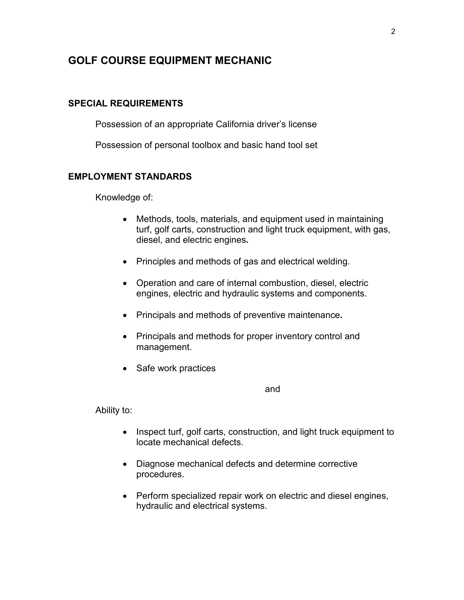# GOLF COURSE EQUIPMENT MECHANIC

### SPECIAL REQUIREMENTS

Possession of an appropriate California driver's license

Possession of personal toolbox and basic hand tool set

### EMPLOYMENT STANDARDS

Knowledge of:

- Methods, tools, materials, and equipment used in maintaining turf, golf carts, construction and light truck equipment, with gas, diesel, and electric engines.
- Principles and methods of gas and electrical welding.
- Operation and care of internal combustion, diesel, electric engines, electric and hydraulic systems and components.
- Principals and methods of preventive maintenance.
- Principals and methods for proper inventory control and management.
- Safe work practices

and

Ability to:

- Inspect turf, golf carts, construction, and light truck equipment to locate mechanical defects.
- Diagnose mechanical defects and determine corrective procedures.
- Perform specialized repair work on electric and diesel engines, hydraulic and electrical systems.